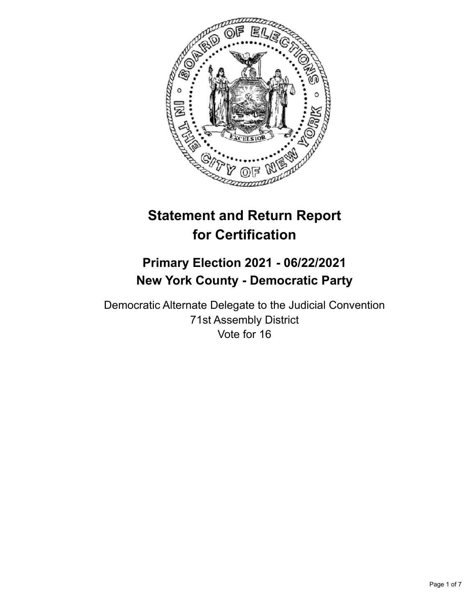

# **Statement and Return Report for Certification**

## **Primary Election 2021 - 06/22/2021 New York County - Democratic Party**

Democratic Alternate Delegate to the Judicial Convention 71st Assembly District Vote for 16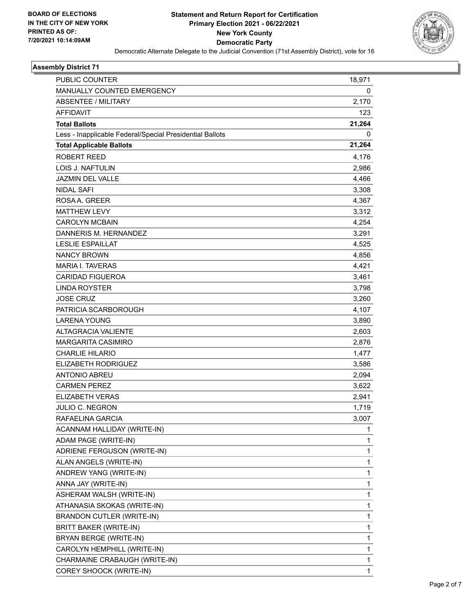

#### **Assembly District 71**

| PUBLIC COUNTER                                           | 18,971       |
|----------------------------------------------------------|--------------|
| <b>MANUALLY COUNTED EMERGENCY</b>                        | 0            |
| <b>ABSENTEE / MILITARY</b>                               | 2,170        |
| <b>AFFIDAVIT</b>                                         | 123          |
| <b>Total Ballots</b>                                     | 21,264       |
| Less - Inapplicable Federal/Special Presidential Ballots | 0            |
| <b>Total Applicable Ballots</b>                          | 21,264       |
| <b>ROBERT REED</b>                                       | 4,176        |
| <b>LOIS J. NAFTULIN</b>                                  | 2,986        |
| <b>JAZMIN DEL VALLE</b>                                  | 4,466        |
| <b>NIDAL SAFI</b>                                        | 3,308        |
| ROSA A. GREER                                            | 4,367        |
| <b>MATTHEW LEVY</b>                                      | 3,312        |
| <b>CAROLYN MCBAIN</b>                                    | 4,254        |
| DANNERIS M. HERNANDEZ                                    | 3,291        |
| <b>LESLIE ESPAILLAT</b>                                  | 4,525        |
| <b>NANCY BROWN</b>                                       | 4,856        |
| <b>MARIA I. TAVERAS</b>                                  | 4,421        |
| <b>CARIDAD FIGUEROA</b>                                  | 3,461        |
| <b>LINDA ROYSTER</b>                                     | 3,798        |
| <b>JOSE CRUZ</b>                                         | 3,260        |
| PATRICIA SCARBOROUGH                                     | 4,107        |
| <b>LARENA YOUNG</b>                                      | 3,890        |
| <b>ALTAGRACIA VALIENTE</b>                               | 2,603        |
| MARGARITA CASIMIRO                                       | 2,876        |
| <b>CHARLIE HILARIO</b>                                   | 1,477        |
| <b>ELIZABETH RODRIGUEZ</b>                               | 3,586        |
| <b>ANTONIO ABREU</b>                                     | 2,094        |
| <b>CARMEN PEREZ</b>                                      | 3,622        |
| <b>ELIZABETH VERAS</b>                                   | 2,941        |
| <b>JULIO C. NEGRON</b>                                   | 1,719        |
| RAFAELINA GARCIA                                         | 3,007        |
| ACANNAM HALLIDAY (WRITE-IN)                              | 1            |
| ADAM PAGE (WRITE-IN)                                     | 1            |
| ADRIENE FERGUSON (WRITE-IN)                              | $\mathbf{1}$ |
| ALAN ANGELS (WRITE-IN)                                   | 1            |
| ANDREW YANG (WRITE-IN)                                   | 1            |
| ANNA JAY (WRITE-IN)                                      | 1            |
| ASHERAM WALSH (WRITE-IN)                                 | 1            |
| ATHANASIA SKOKAS (WRITE-IN)                              | 1            |
| BRANDON CUTLER (WRITE-IN)                                | $\mathbf{1}$ |
| BRITT BAKER (WRITE-IN)                                   | 1            |
| BRYAN BERGE (WRITE-IN)                                   | 1            |
| CAROLYN HEMPHILL (WRITE-IN)                              | 1            |
| CHARMAINE CRABAUGH (WRITE-IN)                            | 1            |
| COREY SHOOCK (WRITE-IN)                                  | 1            |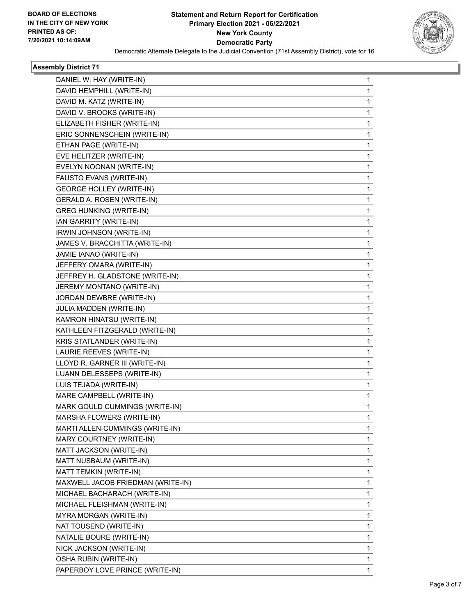

#### **Assembly District 71**

| DANIEL W. HAY (WRITE-IN)<br>1<br>DAVID HEMPHILL (WRITE-IN)<br>1<br>DAVID M. KATZ (WRITE-IN)<br>$\mathbf{1}$<br>DAVID V. BROOKS (WRITE-IN)<br>1<br>ELIZABETH FISHER (WRITE-IN)<br>1<br>ERIC SONNENSCHEIN (WRITE-IN)<br>$\mathbf{1}$<br>ETHAN PAGE (WRITE-IN)<br>1<br>EVE HELITZER (WRITE-IN)<br>1<br>EVELYN NOONAN (WRITE-IN)<br>$\mathbf{1}$<br>FAUSTO EVANS (WRITE-IN)<br>1<br><b>GEORGE HOLLEY (WRITE-IN)</b><br>1<br>GERALD A. ROSEN (WRITE-IN)<br>$\mathbf{1}$<br><b>GREG HUNKING (WRITE-IN)</b><br>1<br>IAN GARRITY (WRITE-IN)<br>1<br>IRWIN JOHNSON (WRITE-IN)<br>1<br>JAMES V. BRACCHITTA (WRITE-IN)<br>1<br>JAMIE IANAO (WRITE-IN)<br>1<br>JEFFERY OMARA (WRITE-IN)<br>$\mathbf{1}$<br>JEFFREY H. GLADSTONE (WRITE-IN)<br>1<br>JEREMY MONTANO (WRITE-IN)<br>1<br>JORDAN DEWBRE (WRITE-IN)<br>1<br>JULIA MADDEN (WRITE-IN)<br>1<br>KAMRON HINATSU (WRITE-IN)<br>1<br>KATHLEEN FITZGERALD (WRITE-IN)<br>$\mathbf{1}$<br>KRIS STATLANDER (WRITE-IN)<br>1<br>LAURIE REEVES (WRITE-IN)<br>1<br>LLOYD R. GARNER III (WRITE-IN)<br>1<br>LUANN DELESSEPS (WRITE-IN)<br>1<br>LUIS TEJADA (WRITE-IN)<br>1<br>MARE CAMPBELL (WRITE-IN)<br>$\mathbf{1}$<br>MARK GOULD CUMMINGS (WRITE-IN)<br>1<br>MARSHA FLOWERS (WRITE-IN)<br>1<br>MARTI ALLEN-CUMMINGS (WRITE-IN)<br>$\mathbf{1}$<br>MARY COURTNEY (WRITE-IN)<br>1<br>MATT JACKSON (WRITE-IN)<br>1<br>MATT NUSBAUM (WRITE-IN)<br>1<br>MATT TEMKIN (WRITE-IN)<br>1<br>MAXWELL JACOB FRIEDMAN (WRITE-IN)<br>1<br>MICHAEL BACHARACH (WRITE-IN)<br>$\mathbf{1}$<br>MICHAEL FLEISHMAN (WRITE-IN)<br>1<br>MYRA MORGAN (WRITE-IN)<br>1<br>NAT TOUSEND (WRITE-IN)<br>1<br>NATALIE BOURE (WRITE-IN)<br>1<br>NICK JACKSON (WRITE-IN)<br>1<br>OSHA RUBIN (WRITE-IN)<br>1<br>PAPERBOY LOVE PRINCE (WRITE-IN)<br>1 |  |  |
|-----------------------------------------------------------------------------------------------------------------------------------------------------------------------------------------------------------------------------------------------------------------------------------------------------------------------------------------------------------------------------------------------------------------------------------------------------------------------------------------------------------------------------------------------------------------------------------------------------------------------------------------------------------------------------------------------------------------------------------------------------------------------------------------------------------------------------------------------------------------------------------------------------------------------------------------------------------------------------------------------------------------------------------------------------------------------------------------------------------------------------------------------------------------------------------------------------------------------------------------------------------------------------------------------------------------------------------------------------------------------------------------------------------------------------------------------------------------------------------------------------------------------------------------------------------------------------------------------------------------------------------------------------------------------------------------------------------------------------------------------------|--|--|
|                                                                                                                                                                                                                                                                                                                                                                                                                                                                                                                                                                                                                                                                                                                                                                                                                                                                                                                                                                                                                                                                                                                                                                                                                                                                                                                                                                                                                                                                                                                                                                                                                                                                                                                                                     |  |  |
|                                                                                                                                                                                                                                                                                                                                                                                                                                                                                                                                                                                                                                                                                                                                                                                                                                                                                                                                                                                                                                                                                                                                                                                                                                                                                                                                                                                                                                                                                                                                                                                                                                                                                                                                                     |  |  |
|                                                                                                                                                                                                                                                                                                                                                                                                                                                                                                                                                                                                                                                                                                                                                                                                                                                                                                                                                                                                                                                                                                                                                                                                                                                                                                                                                                                                                                                                                                                                                                                                                                                                                                                                                     |  |  |
|                                                                                                                                                                                                                                                                                                                                                                                                                                                                                                                                                                                                                                                                                                                                                                                                                                                                                                                                                                                                                                                                                                                                                                                                                                                                                                                                                                                                                                                                                                                                                                                                                                                                                                                                                     |  |  |
|                                                                                                                                                                                                                                                                                                                                                                                                                                                                                                                                                                                                                                                                                                                                                                                                                                                                                                                                                                                                                                                                                                                                                                                                                                                                                                                                                                                                                                                                                                                                                                                                                                                                                                                                                     |  |  |
|                                                                                                                                                                                                                                                                                                                                                                                                                                                                                                                                                                                                                                                                                                                                                                                                                                                                                                                                                                                                                                                                                                                                                                                                                                                                                                                                                                                                                                                                                                                                                                                                                                                                                                                                                     |  |  |
|                                                                                                                                                                                                                                                                                                                                                                                                                                                                                                                                                                                                                                                                                                                                                                                                                                                                                                                                                                                                                                                                                                                                                                                                                                                                                                                                                                                                                                                                                                                                                                                                                                                                                                                                                     |  |  |
|                                                                                                                                                                                                                                                                                                                                                                                                                                                                                                                                                                                                                                                                                                                                                                                                                                                                                                                                                                                                                                                                                                                                                                                                                                                                                                                                                                                                                                                                                                                                                                                                                                                                                                                                                     |  |  |
|                                                                                                                                                                                                                                                                                                                                                                                                                                                                                                                                                                                                                                                                                                                                                                                                                                                                                                                                                                                                                                                                                                                                                                                                                                                                                                                                                                                                                                                                                                                                                                                                                                                                                                                                                     |  |  |
|                                                                                                                                                                                                                                                                                                                                                                                                                                                                                                                                                                                                                                                                                                                                                                                                                                                                                                                                                                                                                                                                                                                                                                                                                                                                                                                                                                                                                                                                                                                                                                                                                                                                                                                                                     |  |  |
|                                                                                                                                                                                                                                                                                                                                                                                                                                                                                                                                                                                                                                                                                                                                                                                                                                                                                                                                                                                                                                                                                                                                                                                                                                                                                                                                                                                                                                                                                                                                                                                                                                                                                                                                                     |  |  |
|                                                                                                                                                                                                                                                                                                                                                                                                                                                                                                                                                                                                                                                                                                                                                                                                                                                                                                                                                                                                                                                                                                                                                                                                                                                                                                                                                                                                                                                                                                                                                                                                                                                                                                                                                     |  |  |
|                                                                                                                                                                                                                                                                                                                                                                                                                                                                                                                                                                                                                                                                                                                                                                                                                                                                                                                                                                                                                                                                                                                                                                                                                                                                                                                                                                                                                                                                                                                                                                                                                                                                                                                                                     |  |  |
|                                                                                                                                                                                                                                                                                                                                                                                                                                                                                                                                                                                                                                                                                                                                                                                                                                                                                                                                                                                                                                                                                                                                                                                                                                                                                                                                                                                                                                                                                                                                                                                                                                                                                                                                                     |  |  |
|                                                                                                                                                                                                                                                                                                                                                                                                                                                                                                                                                                                                                                                                                                                                                                                                                                                                                                                                                                                                                                                                                                                                                                                                                                                                                                                                                                                                                                                                                                                                                                                                                                                                                                                                                     |  |  |
|                                                                                                                                                                                                                                                                                                                                                                                                                                                                                                                                                                                                                                                                                                                                                                                                                                                                                                                                                                                                                                                                                                                                                                                                                                                                                                                                                                                                                                                                                                                                                                                                                                                                                                                                                     |  |  |
|                                                                                                                                                                                                                                                                                                                                                                                                                                                                                                                                                                                                                                                                                                                                                                                                                                                                                                                                                                                                                                                                                                                                                                                                                                                                                                                                                                                                                                                                                                                                                                                                                                                                                                                                                     |  |  |
|                                                                                                                                                                                                                                                                                                                                                                                                                                                                                                                                                                                                                                                                                                                                                                                                                                                                                                                                                                                                                                                                                                                                                                                                                                                                                                                                                                                                                                                                                                                                                                                                                                                                                                                                                     |  |  |
|                                                                                                                                                                                                                                                                                                                                                                                                                                                                                                                                                                                                                                                                                                                                                                                                                                                                                                                                                                                                                                                                                                                                                                                                                                                                                                                                                                                                                                                                                                                                                                                                                                                                                                                                                     |  |  |
|                                                                                                                                                                                                                                                                                                                                                                                                                                                                                                                                                                                                                                                                                                                                                                                                                                                                                                                                                                                                                                                                                                                                                                                                                                                                                                                                                                                                                                                                                                                                                                                                                                                                                                                                                     |  |  |
|                                                                                                                                                                                                                                                                                                                                                                                                                                                                                                                                                                                                                                                                                                                                                                                                                                                                                                                                                                                                                                                                                                                                                                                                                                                                                                                                                                                                                                                                                                                                                                                                                                                                                                                                                     |  |  |
|                                                                                                                                                                                                                                                                                                                                                                                                                                                                                                                                                                                                                                                                                                                                                                                                                                                                                                                                                                                                                                                                                                                                                                                                                                                                                                                                                                                                                                                                                                                                                                                                                                                                                                                                                     |  |  |
|                                                                                                                                                                                                                                                                                                                                                                                                                                                                                                                                                                                                                                                                                                                                                                                                                                                                                                                                                                                                                                                                                                                                                                                                                                                                                                                                                                                                                                                                                                                                                                                                                                                                                                                                                     |  |  |
|                                                                                                                                                                                                                                                                                                                                                                                                                                                                                                                                                                                                                                                                                                                                                                                                                                                                                                                                                                                                                                                                                                                                                                                                                                                                                                                                                                                                                                                                                                                                                                                                                                                                                                                                                     |  |  |
|                                                                                                                                                                                                                                                                                                                                                                                                                                                                                                                                                                                                                                                                                                                                                                                                                                                                                                                                                                                                                                                                                                                                                                                                                                                                                                                                                                                                                                                                                                                                                                                                                                                                                                                                                     |  |  |
|                                                                                                                                                                                                                                                                                                                                                                                                                                                                                                                                                                                                                                                                                                                                                                                                                                                                                                                                                                                                                                                                                                                                                                                                                                                                                                                                                                                                                                                                                                                                                                                                                                                                                                                                                     |  |  |
|                                                                                                                                                                                                                                                                                                                                                                                                                                                                                                                                                                                                                                                                                                                                                                                                                                                                                                                                                                                                                                                                                                                                                                                                                                                                                                                                                                                                                                                                                                                                                                                                                                                                                                                                                     |  |  |
|                                                                                                                                                                                                                                                                                                                                                                                                                                                                                                                                                                                                                                                                                                                                                                                                                                                                                                                                                                                                                                                                                                                                                                                                                                                                                                                                                                                                                                                                                                                                                                                                                                                                                                                                                     |  |  |
|                                                                                                                                                                                                                                                                                                                                                                                                                                                                                                                                                                                                                                                                                                                                                                                                                                                                                                                                                                                                                                                                                                                                                                                                                                                                                                                                                                                                                                                                                                                                                                                                                                                                                                                                                     |  |  |
|                                                                                                                                                                                                                                                                                                                                                                                                                                                                                                                                                                                                                                                                                                                                                                                                                                                                                                                                                                                                                                                                                                                                                                                                                                                                                                                                                                                                                                                                                                                                                                                                                                                                                                                                                     |  |  |
|                                                                                                                                                                                                                                                                                                                                                                                                                                                                                                                                                                                                                                                                                                                                                                                                                                                                                                                                                                                                                                                                                                                                                                                                                                                                                                                                                                                                                                                                                                                                                                                                                                                                                                                                                     |  |  |
|                                                                                                                                                                                                                                                                                                                                                                                                                                                                                                                                                                                                                                                                                                                                                                                                                                                                                                                                                                                                                                                                                                                                                                                                                                                                                                                                                                                                                                                                                                                                                                                                                                                                                                                                                     |  |  |
|                                                                                                                                                                                                                                                                                                                                                                                                                                                                                                                                                                                                                                                                                                                                                                                                                                                                                                                                                                                                                                                                                                                                                                                                                                                                                                                                                                                                                                                                                                                                                                                                                                                                                                                                                     |  |  |
|                                                                                                                                                                                                                                                                                                                                                                                                                                                                                                                                                                                                                                                                                                                                                                                                                                                                                                                                                                                                                                                                                                                                                                                                                                                                                                                                                                                                                                                                                                                                                                                                                                                                                                                                                     |  |  |
|                                                                                                                                                                                                                                                                                                                                                                                                                                                                                                                                                                                                                                                                                                                                                                                                                                                                                                                                                                                                                                                                                                                                                                                                                                                                                                                                                                                                                                                                                                                                                                                                                                                                                                                                                     |  |  |
|                                                                                                                                                                                                                                                                                                                                                                                                                                                                                                                                                                                                                                                                                                                                                                                                                                                                                                                                                                                                                                                                                                                                                                                                                                                                                                                                                                                                                                                                                                                                                                                                                                                                                                                                                     |  |  |
|                                                                                                                                                                                                                                                                                                                                                                                                                                                                                                                                                                                                                                                                                                                                                                                                                                                                                                                                                                                                                                                                                                                                                                                                                                                                                                                                                                                                                                                                                                                                                                                                                                                                                                                                                     |  |  |
|                                                                                                                                                                                                                                                                                                                                                                                                                                                                                                                                                                                                                                                                                                                                                                                                                                                                                                                                                                                                                                                                                                                                                                                                                                                                                                                                                                                                                                                                                                                                                                                                                                                                                                                                                     |  |  |
|                                                                                                                                                                                                                                                                                                                                                                                                                                                                                                                                                                                                                                                                                                                                                                                                                                                                                                                                                                                                                                                                                                                                                                                                                                                                                                                                                                                                                                                                                                                                                                                                                                                                                                                                                     |  |  |
|                                                                                                                                                                                                                                                                                                                                                                                                                                                                                                                                                                                                                                                                                                                                                                                                                                                                                                                                                                                                                                                                                                                                                                                                                                                                                                                                                                                                                                                                                                                                                                                                                                                                                                                                                     |  |  |
|                                                                                                                                                                                                                                                                                                                                                                                                                                                                                                                                                                                                                                                                                                                                                                                                                                                                                                                                                                                                                                                                                                                                                                                                                                                                                                                                                                                                                                                                                                                                                                                                                                                                                                                                                     |  |  |
|                                                                                                                                                                                                                                                                                                                                                                                                                                                                                                                                                                                                                                                                                                                                                                                                                                                                                                                                                                                                                                                                                                                                                                                                                                                                                                                                                                                                                                                                                                                                                                                                                                                                                                                                                     |  |  |
|                                                                                                                                                                                                                                                                                                                                                                                                                                                                                                                                                                                                                                                                                                                                                                                                                                                                                                                                                                                                                                                                                                                                                                                                                                                                                                                                                                                                                                                                                                                                                                                                                                                                                                                                                     |  |  |
|                                                                                                                                                                                                                                                                                                                                                                                                                                                                                                                                                                                                                                                                                                                                                                                                                                                                                                                                                                                                                                                                                                                                                                                                                                                                                                                                                                                                                                                                                                                                                                                                                                                                                                                                                     |  |  |
|                                                                                                                                                                                                                                                                                                                                                                                                                                                                                                                                                                                                                                                                                                                                                                                                                                                                                                                                                                                                                                                                                                                                                                                                                                                                                                                                                                                                                                                                                                                                                                                                                                                                                                                                                     |  |  |
|                                                                                                                                                                                                                                                                                                                                                                                                                                                                                                                                                                                                                                                                                                                                                                                                                                                                                                                                                                                                                                                                                                                                                                                                                                                                                                                                                                                                                                                                                                                                                                                                                                                                                                                                                     |  |  |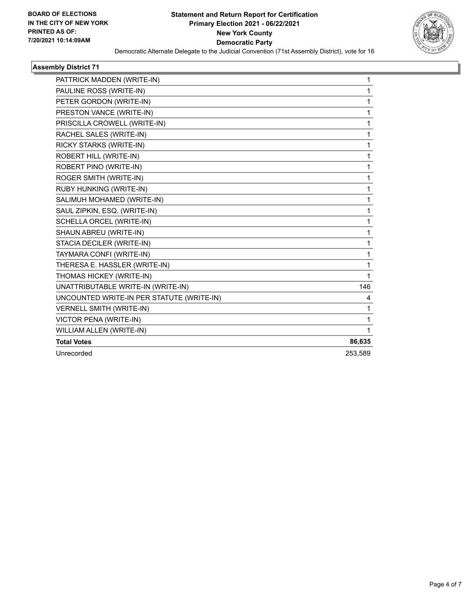

#### **Assembly District 71**

| PATTRICK MADDEN (WRITE-IN)                | $\mathbf{1}$ |
|-------------------------------------------|--------------|
| PAULINE ROSS (WRITE-IN)                   | 1            |
| PETER GORDON (WRITE-IN)                   | 1            |
| PRESTON VANCE (WRITE-IN)                  | 1            |
| PRISCILLA CROWELL (WRITE-IN)              | 1            |
| RACHEL SALES (WRITE-IN)                   | 1            |
| RICKY STARKS (WRITE-IN)                   | 1            |
| ROBERT HILL (WRITE-IN)                    | 1            |
| ROBERT PINO (WRITE-IN)                    | 1            |
| ROGER SMITH (WRITE-IN)                    | 1            |
| RUBY HUNKING (WRITE-IN)                   | 1            |
| SALIMUH MOHAMED (WRITE-IN)                | $\mathbf{1}$ |
| SAUL ZIPKIN, ESQ. (WRITE-IN)              | 1            |
| SCHELLA ORCEL (WRITE-IN)                  | 1            |
| SHAUN ABREU (WRITE-IN)                    | 1            |
| STACIA DECILER (WRITE-IN)                 | 1            |
| TAYMARA CONFI (WRITE-IN)                  | 1            |
| THERESA E. HASSLER (WRITE-IN)             | 1            |
| THOMAS HICKEY (WRITE-IN)                  | 1            |
| UNATTRIBUTABLE WRITE-IN (WRITE-IN)        | 146          |
| UNCOUNTED WRITE-IN PER STATUTE (WRITE-IN) | 4            |
| <b>VERNELL SMITH (WRITE-IN)</b>           | 1            |
| VICTOR PENA (WRITE-IN)                    | 1            |
| WILLIAM ALLEN (WRITE-IN)                  | 1            |
| <b>Total Votes</b>                        | 86,635       |
| Unrecorded                                | 253,589      |
|                                           |              |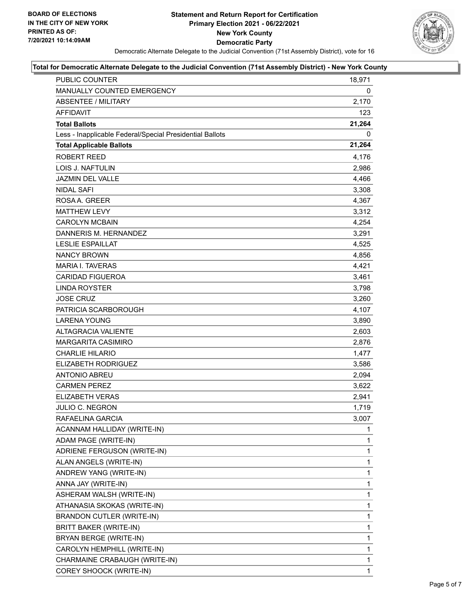

#### **Total for Democratic Alternate Delegate to the Judicial Convention (71st Assembly District) - New York County**

| PUBLIC COUNTER                                           | 18,971 |
|----------------------------------------------------------|--------|
| MANUALLY COUNTED EMERGENCY                               | 0      |
| <b>ABSENTEE / MILITARY</b>                               | 2,170  |
| <b>AFFIDAVIT</b>                                         | 123    |
| <b>Total Ballots</b>                                     | 21,264 |
| Less - Inapplicable Federal/Special Presidential Ballots | 0      |
| <b>Total Applicable Ballots</b>                          | 21,264 |
| ROBERT REED                                              | 4,176  |
| <b>LOIS J. NAFTULIN</b>                                  | 2,986  |
| JAZMIN DEL VALLE                                         | 4,466  |
| <b>NIDAL SAFI</b>                                        | 3,308  |
| ROSAA, GREER                                             | 4,367  |
| <b>MATTHEW LEVY</b>                                      | 3,312  |
| <b>CAROLYN MCBAIN</b>                                    | 4,254  |
| DANNERIS M. HERNANDEZ                                    | 3,291  |
| <b>LESLIE ESPAILLAT</b>                                  | 4,525  |
| <b>NANCY BROWN</b>                                       | 4,856  |
| <b>MARIA I. TAVERAS</b>                                  | 4,421  |
| <b>CARIDAD FIGUEROA</b>                                  | 3,461  |
| <b>LINDA ROYSTER</b>                                     | 3,798  |
| <b>JOSE CRUZ</b>                                         | 3,260  |
| PATRICIA SCARBOROUGH                                     | 4,107  |
| <b>LARENA YOUNG</b>                                      | 3,890  |
| <b>ALTAGRACIA VALIENTE</b>                               | 2,603  |
| <b>MARGARITA CASIMIRO</b>                                | 2,876  |
| <b>CHARLIE HILARIO</b>                                   | 1,477  |
| <b>ELIZABETH RODRIGUEZ</b>                               | 3,586  |
| <b>ANTONIO ABREU</b>                                     | 2,094  |
| <b>CARMEN PEREZ</b>                                      | 3,622  |
| <b>ELIZABETH VERAS</b>                                   | 2,941  |
| JULIO C. NEGRON                                          | 1,719  |
| RAFAELINA GARCIA                                         | 3,007  |
| ACANNAM HALLIDAY (WRITE-IN)                              | 1      |
| ADAM PAGE (WRITE-IN)                                     | 1      |
| ADRIENE FERGUSON (WRITE-IN)                              | 1      |
| ALAN ANGELS (WRITE-IN)                                   | 1      |
| ANDREW YANG (WRITE-IN)                                   | 1      |
| ANNA JAY (WRITE-IN)                                      | 1      |
| ASHERAM WALSH (WRITE-IN)                                 | 1      |
| ATHANASIA SKOKAS (WRITE-IN)                              | 1      |
| <b>BRANDON CUTLER (WRITE-IN)</b>                         | 1      |
| BRITT BAKER (WRITE-IN)                                   | 1      |
| BRYAN BERGE (WRITE-IN)                                   | 1      |
| CAROLYN HEMPHILL (WRITE-IN)                              | 1      |
| CHARMAINE CRABAUGH (WRITE-IN)                            | 1      |
| COREY SHOOCK (WRITE-IN)                                  | 1      |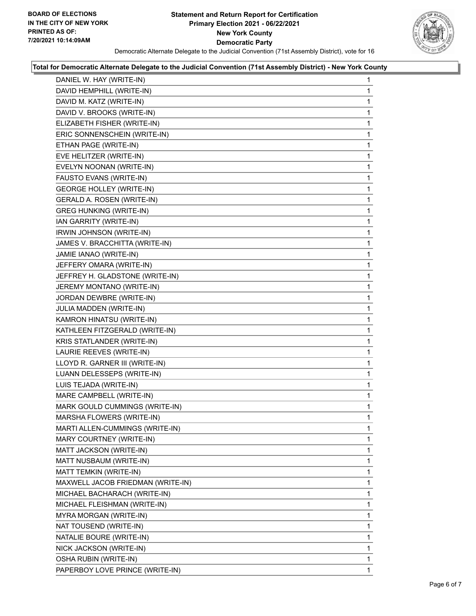

#### **Total for Democratic Alternate Delegate to the Judicial Convention (71st Assembly District) - New York County**

| DANIEL W. HAY (WRITE-IN)          | 1 |
|-----------------------------------|---|
| DAVID HEMPHILL (WRITE-IN)         | 1 |
| DAVID M. KATZ (WRITE-IN)          | 1 |
| DAVID V. BROOKS (WRITE-IN)        | 1 |
| ELIZABETH FISHER (WRITE-IN)       | 1 |
| ERIC SONNENSCHEIN (WRITE-IN)      | 1 |
| ETHAN PAGE (WRITE-IN)             | 1 |
| EVE HELITZER (WRITE-IN)           | 1 |
| EVELYN NOONAN (WRITE-IN)          | 1 |
| FAUSTO EVANS (WRITE-IN)           | 1 |
| <b>GEORGE HOLLEY (WRITE-IN)</b>   | 1 |
| GERALD A. ROSEN (WRITE-IN)        | 1 |
| <b>GREG HUNKING (WRITE-IN)</b>    | 1 |
| IAN GARRITY (WRITE-IN)            | 1 |
| IRWIN JOHNSON (WRITE-IN)          | 1 |
| JAMES V. BRACCHITTA (WRITE-IN)    | 1 |
| JAMIE IANAO (WRITE-IN)            | 1 |
| JEFFERY OMARA (WRITE-IN)          | 1 |
| JEFFREY H. GLADSTONE (WRITE-IN)   | 1 |
| JEREMY MONTANO (WRITE-IN)         | 1 |
| JORDAN DEWBRE (WRITE-IN)          | 1 |
| JULIA MADDEN (WRITE-IN)           | 1 |
| KAMRON HINATSU (WRITE-IN)         | 1 |
| KATHLEEN FITZGERALD (WRITE-IN)    | 1 |
| KRIS STATLANDER (WRITE-IN)        | 1 |
| LAURIE REEVES (WRITE-IN)          | 1 |
| LLOYD R. GARNER III (WRITE-IN)    | 1 |
| LUANN DELESSEPS (WRITE-IN)        | 1 |
| LUIS TEJADA (WRITE-IN)            | 1 |
| MARE CAMPBELL (WRITE-IN)          | 1 |
| MARK GOULD CUMMINGS (WRITE-IN)    | 1 |
| MARSHA FLOWERS (WRITE-IN)         | 1 |
| MARTI ALLEN-CUMMINGS (WRITE-IN)   | 1 |
| MARY COURTNEY (WRITE-IN)          | 1 |
| MATT JACKSON (WRITE-IN)           | 1 |
| MATT NUSBAUM (WRITE-IN)           | 1 |
| MATT TEMKIN (WRITE-IN)            | 1 |
| MAXWELL JACOB FRIEDMAN (WRITE-IN) | 1 |
| MICHAEL BACHARACH (WRITE-IN)      | 1 |
| MICHAEL FLEISHMAN (WRITE-IN)      | 1 |
| MYRA MORGAN (WRITE-IN)            | 1 |
| NAT TOUSEND (WRITE-IN)            | 1 |
| NATALIE BOURE (WRITE-IN)          | 1 |
| NICK JACKSON (WRITE-IN)           | 1 |
| OSHA RUBIN (WRITE-IN)             | 1 |
| PAPERBOY LOVE PRINCE (WRITE-IN)   | 1 |
|                                   |   |